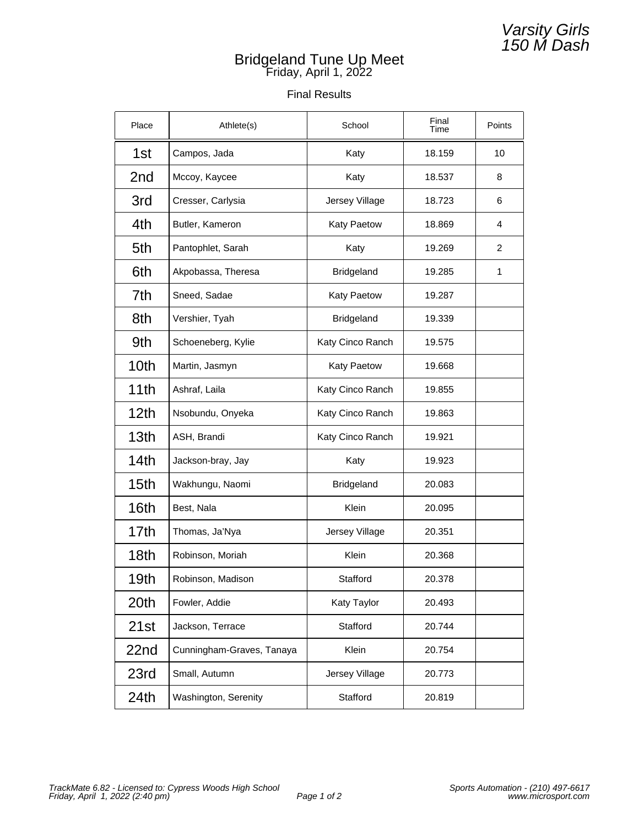## Bridgeland Tune Up Meet Friday, April 1, 2022

## Final Results

| Place            | Athlete(s)                | School           | Final<br>Time | Points |
|------------------|---------------------------|------------------|---------------|--------|
| 1st              | Campos, Jada              | Katy             | 18.159        | 10     |
| 2nd              | Mccoy, Kaycee             | Katy             | 18.537        | 8      |
| 3rd              | Cresser, Carlysia         | Jersey Village   | 18.723        | 6      |
| 4th              | Butler, Kameron           | Katy Paetow      | 18.869        | 4      |
| 5th              | Pantophlet, Sarah         | Katy             | 19.269        | 2      |
| 6th              | Akpobassa, Theresa        | Bridgeland       | 19.285        | 1      |
| 7th              | Sneed, Sadae              | Katy Paetow      | 19.287        |        |
| 8th              | Vershier, Tyah            | Bridgeland       | 19.339        |        |
| 9th              | Schoeneberg, Kylie        | Katy Cinco Ranch | 19.575        |        |
| 10th             | Martin, Jasmyn            | Katy Paetow      | 19.668        |        |
| 11th             | Ashraf, Laila             | Katy Cinco Ranch | 19.855        |        |
| 12 <sub>th</sub> | Nsobundu, Onyeka          | Katy Cinco Ranch | 19.863        |        |
| 13 <sub>th</sub> | ASH, Brandi               | Katy Cinco Ranch | 19.921        |        |
| 14th             | Jackson-bray, Jay         | Katy             | 19.923        |        |
| 15 <sub>th</sub> | Wakhungu, Naomi           | Bridgeland       | 20.083        |        |
| 16th             | Best, Nala                | Klein            | 20.095        |        |
| 17th             | Thomas, Ja'Nya            | Jersey Village   | 20.351        |        |
| 18 <sub>th</sub> | Robinson, Moriah          | Klein            | 20.368        |        |
| 19th             | Robinson, Madison         | Stafford         | 20.378        |        |
| 20th             | Fowler, Addie             | Katy Taylor      | 20.493        |        |
| 21st             | Jackson, Terrace          | Stafford         | 20.744        |        |
| 22nd             | Cunningham-Graves, Tanaya | Klein            | 20.754        |        |
| 23rd             | Small, Autumn             | Jersey Village   | 20.773        |        |
| 24th             | Washington, Serenity      | Stafford         | 20.819        |        |

Varsity Girls 150 M Dash